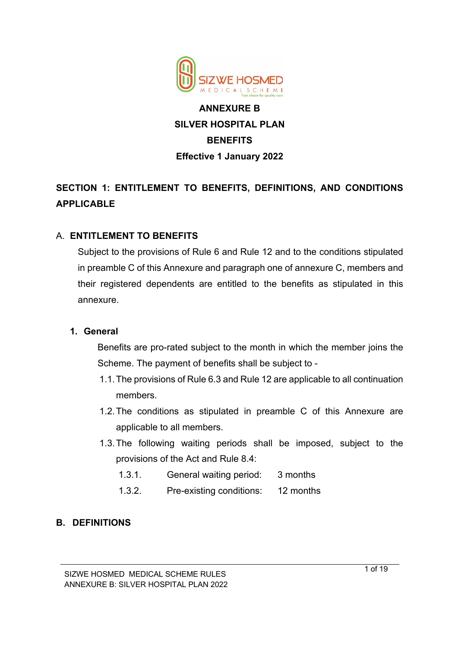

# **ANNEXURE B SILVER HOSPITAL PLAN BENEFITS Effective 1 January 2022**

# **SECTION 1: ENTITLEMENT TO BENEFITS, DEFINITIONS, AND CONDITIONS APPLICABLE**

# A. **ENTITLEMENT TO BENEFITS**

Subject to the provisions of Rule 6 and Rule 12 and to the conditions stipulated in preamble C of this Annexure and paragraph one of annexure C, members and their registered dependents are entitled to the benefits as stipulated in this annexure.

#### **1. General**

Benefits are pro-rated subject to the month in which the member joins the Scheme. The payment of benefits shall be subject to -

- 1.1.The provisions of Rule 6.3 and Rule 12 are applicable to all continuation members.
- 1.2.The conditions as stipulated in preamble C of this Annexure are applicable to all members.
- 1.3.The following waiting periods shall be imposed, subject to the provisions of the Act and Rule 8.4:
	- 1.3.1. General waiting period: 3 months
	- 1.3.2. Pre-existing conditions: 12 months

# **B. DEFINITIONS**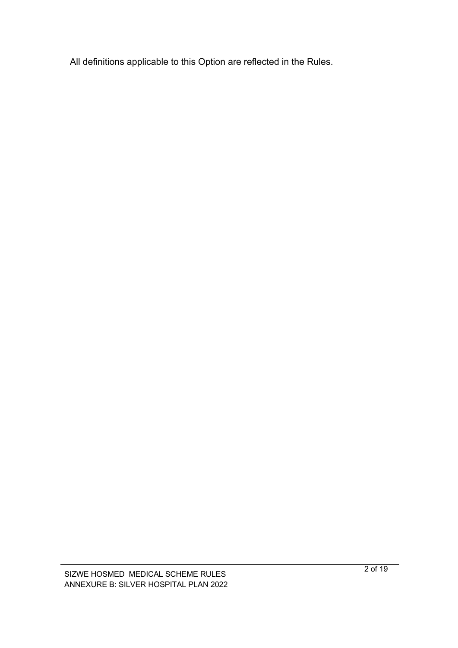All definitions applicable to this Option are reflected in the Rules.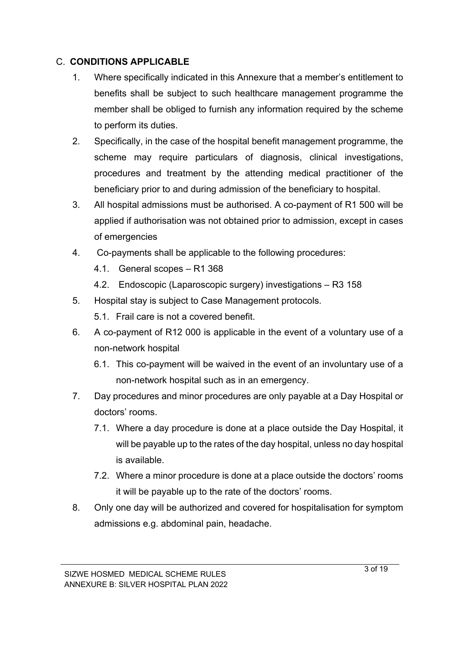# C. **CONDITIONS APPLICABLE**

- 1. Where specifically indicated in this Annexure that a member's entitlement to benefits shall be subject to such healthcare management programme the member shall be obliged to furnish any information required by the scheme to perform its duties.
- 2. Specifically, in the case of the hospital benefit management programme, the scheme may require particulars of diagnosis, clinical investigations, procedures and treatment by the attending medical practitioner of the beneficiary prior to and during admission of the beneficiary to hospital.
- 3. All hospital admissions must be authorised. A co-payment of R1 500 will be applied if authorisation was not obtained prior to admission, except in cases of emergencies
- 4. Co-payments shall be applicable to the following procedures:
	- 4.1. General scopes R1 368
	- 4.2. Endoscopic (Laparoscopic surgery) investigations R3 158
- 5. Hospital stay is subject to Case Management protocols.
	- 5.1. Frail care is not a covered benefit.
- 6. A co-payment of R12 000 is applicable in the event of a voluntary use of a non-network hospital
	- 6.1. This co-payment will be waived in the event of an involuntary use of a non-network hospital such as in an emergency.
- 7. Day procedures and minor procedures are only payable at a Day Hospital or doctors' rooms.
	- 7.1. Where a day procedure is done at a place outside the Day Hospital, it will be payable up to the rates of the day hospital, unless no day hospital is available.
	- 7.2. Where a minor procedure is done at a place outside the doctors' rooms it will be payable up to the rate of the doctors' rooms.
- 8. Only one day will be authorized and covered for hospitalisation for symptom admissions e.g. abdominal pain, headache.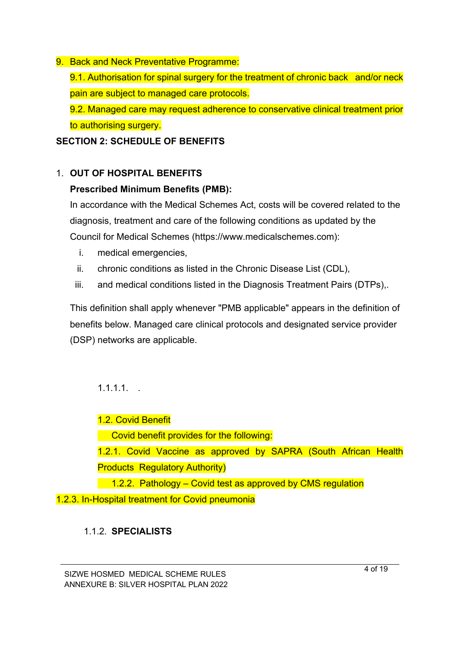#### 9. Back and Neck Preventative Programme:

9.1. Authorisation for spinal surgery for the treatment of chronic back and/or neck pain are subject to managed care protocols.

9.2. Managed care may request adherence to conservative clinical treatment prior to authorising surgery.

# **SECTION 2: SCHEDULE OF BENEFITS**

# 1. **OUT OF HOSPITAL BENEFITS**

# **Prescribed Minimum Benefits (PMB):**

In accordance with the Medical Schemes Act, costs will be covered related to the diagnosis, treatment and care of the following conditions as updated by the Council for Medical Schemes (https://www.medicalschemes.com):

- i. medical emergencies,
- ii. chronic conditions as listed in the Chronic Disease List (CDL),
- iii. and medical conditions listed in the Diagnosis Treatment Pairs (DTPs),.

This definition shall apply whenever "PMB applicable" appears in the definition of benefits below. Managed care clinical protocols and designated service provider (DSP) networks are applicable.

# $1.1.1.1.$

1.2. Covid Benefit

Covid benefit provides for the following:

1.2.1. Covid Vaccine as approved by SAPRA (South African Health Products Regulatory Authority)

1.2.2. Pathology – Covid test as approved by CMS regulation

1.2.3. In-Hospital treatment for Covid pneumonia

# 1.1.2. **SPECIALISTS**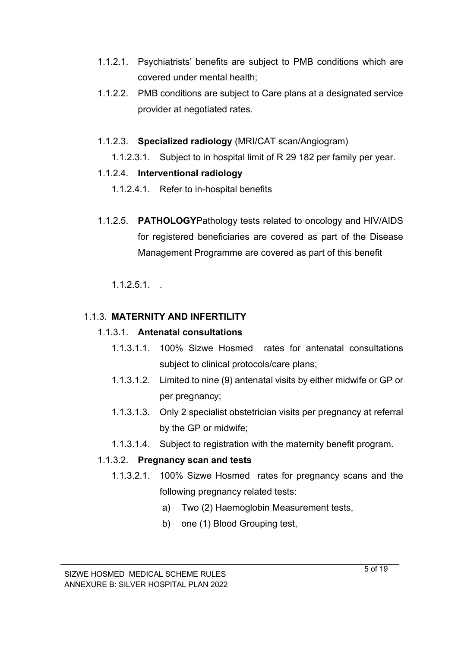- 1.1.2.1. Psychiatrists' benefits are subject to PMB conditions which are covered under mental health;
- 1.1.2.2. PMB conditions are subject to Care plans at a designated service provider at negotiated rates.
- 1.1.2.3. **Specialized radiology** (MRI/CAT scan/Angiogram)
	- 1.1.2.3.1. Subject to in hospital limit of R 29 182 per family per year.

#### 1.1.2.4. **Interventional radiology**

- 1.1.2.4.1. Refer to in-hospital benefits
- 1.1.2.5. **PATHOLOGY**Pathology tests related to oncology and HIV/AIDS for registered beneficiaries are covered as part of the Disease Management Programme are covered as part of this benefit

 $1.1.2.5.1...$ 

# 1.1.3. **MATERNITY AND INFERTILITY**

#### 1.1.3.1. **Antenatal consultations**

- 1.1.3.1.1. 100% Sizwe Hosmed rates for antenatal consultations subject to clinical protocols/care plans;
- 1.1.3.1.2. Limited to nine (9) antenatal visits by either midwife or GP or per pregnancy;
- 1.1.3.1.3. Only 2 specialist obstetrician visits per pregnancy at referral by the GP or midwife;
- 1.1.3.1.4. Subject to registration with the maternity benefit program.

# 1.1.3.2. **Pregnancy scan and tests**

- 1.1.3.2.1. 100% Sizwe Hosmed rates for pregnancy scans and the following pregnancy related tests:
	- a) Two (2) Haemoglobin Measurement tests,
	- b) one (1) Blood Grouping test,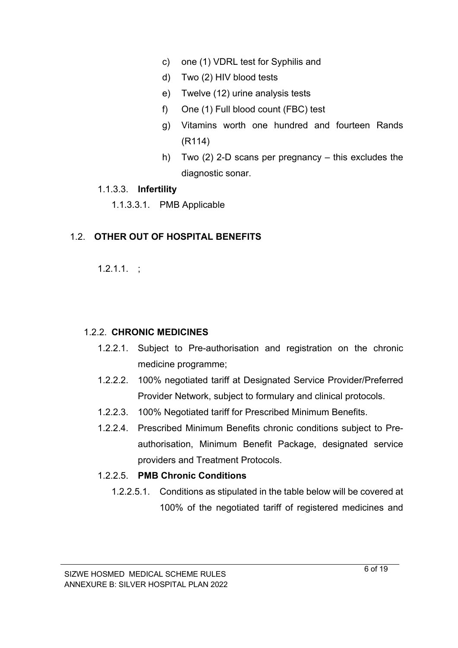- c) one (1) VDRL test for Syphilis and
- d) Two (2) HIV blood tests
- e) Twelve (12) urine analysis tests
- f) One (1) Full blood count (FBC) test
- g) Vitamins worth one hundred and fourteen Rands (R114)
- h) Two (2) 2-D scans per pregnancy this excludes the diagnostic sonar.

#### 1.1.3.3. **Infertility**

1.1.3.3.1. PMB Applicable

#### 1.2. **OTHER OUT OF HOSPITAL BENEFITS**

 $1.2.1.1.$ :

#### 1.2.2. **CHRONIC MEDICINES**

- 1.2.2.1. Subject to Pre-authorisation and registration on the chronic medicine programme;
- 1.2.2.2. 100% negotiated tariff at Designated Service Provider/Preferred Provider Network, subject to formulary and clinical protocols.
- 1.2.2.3. 100% Negotiated tariff for Prescribed Minimum Benefits.
- 1.2.2.4. Prescribed Minimum Benefits chronic conditions subject to Preauthorisation, Minimum Benefit Package, designated service providers and Treatment Protocols.

#### 1.2.2.5. **PMB Chronic Conditions**

1.2.2.5.1. Conditions as stipulated in the table below will be covered at 100% of the negotiated tariff of registered medicines and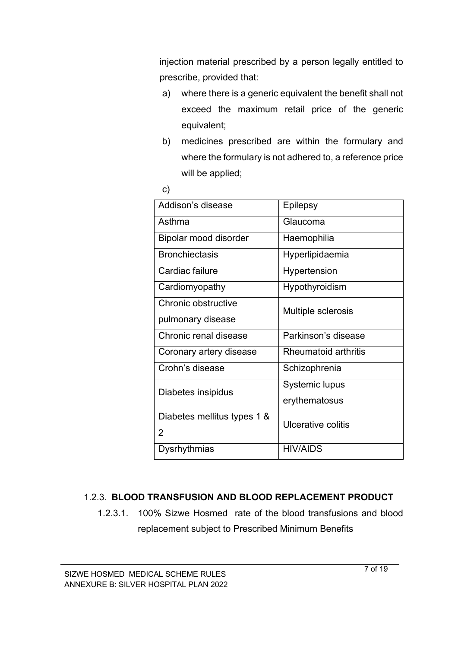injection material prescribed by a person legally entitled to prescribe, provided that:

- a) where there is a generic equivalent the benefit shall not exceed the maximum retail price of the generic equivalent;
- b) medicines prescribed are within the formulary and where the formulary is not adhered to, a reference price will be applied;

| PU 1                    |  |
|-------------------------|--|
| ٦<br>×<br>I<br>M.<br>۰. |  |

| Addison's disease           | Epilepsy                  |  |
|-----------------------------|---------------------------|--|
| Asthma                      | Glaucoma                  |  |
| Bipolar mood disorder       | Haemophilia               |  |
| <b>Bronchiectasis</b>       | Hyperlipidaemia           |  |
| Cardiac failure             | Hypertension              |  |
| Cardiomyopathy              | Hypothyroidism            |  |
| Chronic obstructive         | Multiple sclerosis        |  |
| pulmonary disease           |                           |  |
| Chronic renal disease       | Parkinson's disease       |  |
| Coronary artery disease     | Rheumatoid arthritis      |  |
| Crohn's disease             | Schizophrenia             |  |
| Diabetes insipidus          | Systemic lupus            |  |
|                             | erythematosus             |  |
| Diabetes mellitus types 1 & | <b>Ulcerative colitis</b> |  |
| 2                           |                           |  |
| Dysrhythmias                | <b>HIV/AIDS</b>           |  |
|                             |                           |  |

#### 1.2.3. **BLOOD TRANSFUSION AND BLOOD REPLACEMENT PRODUCT**

1.2.3.1. 100% Sizwe Hosmed rate of the blood transfusions and blood replacement subject to Prescribed Minimum Benefits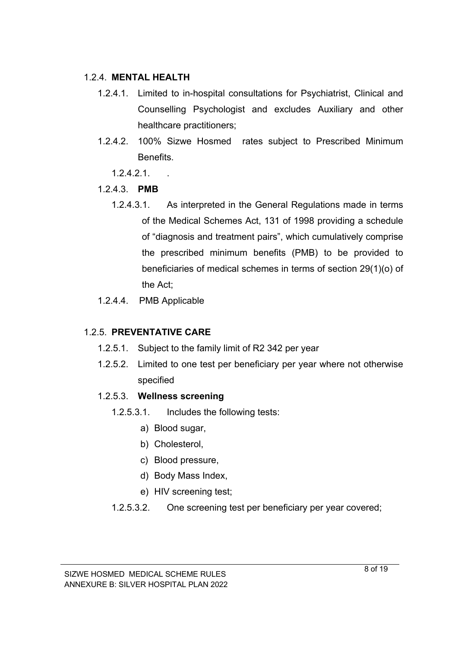#### 1.2.4. **MENTAL HEALTH**

- 1.2.4.1. Limited to in-hospital consultations for Psychiatrist, Clinical and Counselling Psychologist and excludes Auxiliary and other healthcare practitioners;
- 1.2.4.2. 100% Sizwe Hosmed rates subject to Prescribed Minimum Benefits.
	- 1.2.4.2.1. .
- 1.2.4.3. **PMB**
	- 1.2.4.3.1. As interpreted in the General Regulations made in terms of the Medical Schemes Act, 131 of 1998 providing a schedule of "diagnosis and treatment pairs", which cumulatively comprise the prescribed minimum benefits (PMB) to be provided to beneficiaries of medical schemes in terms of section 29(1)(o) of the Act;
- 1.2.4.4. PMB Applicable

# 1.2.5. **PREVENTATIVE CARE**

- 1.2.5.1. Subject to the family limit of R2 342 per year
- 1.2.5.2. Limited to one test per beneficiary per year where not otherwise specified

#### 1.2.5.3. **Wellness screening**

- 1.2.5.3.1. Includes the following tests:
	- a) Blood sugar,
	- b) Cholesterol,
	- c) Blood pressure,
	- d) Body Mass Index,
	- e) HIV screening test;
- 1.2.5.3.2. One screening test per beneficiary per year covered;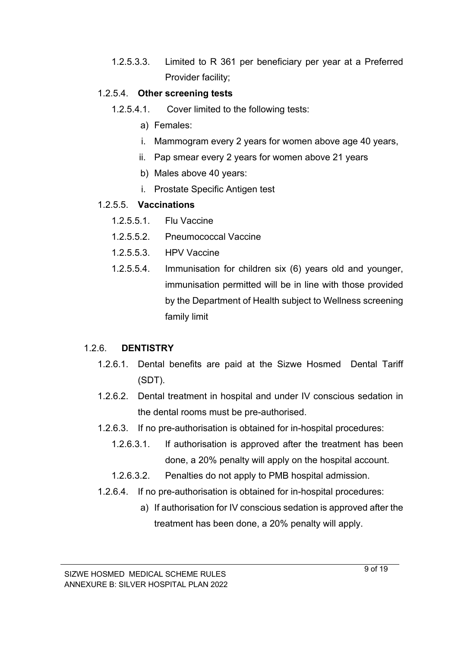1.2.5.3.3. Limited to R 361 per beneficiary per year at a Preferred Provider facility;

#### 1.2.5.4. **Other screening tests**

- 1.2.5.4.1. Cover limited to the following tests:
	- a) Females:
	- i. Mammogram every 2 years for women above age 40 years,
	- ii. Pap smear every 2 years for women above 21 years
	- b) Males above 40 years:
	- i. Prostate Specific Antigen test

#### 1.2.5.5. **Vaccinations**

- 1.2.5.5.1. Flu Vaccine
- 1.2.5.5.2. Pneumococcal Vaccine
- 1.2.5.5.3. HPV Vaccine
- 1.2.5.5.4. Immunisation for children six (6) years old and younger, immunisation permitted will be in line with those provided by the Department of Health subject to Wellness screening family limit

#### 1.2.6. **DENTISTRY**

- 1.2.6.1. Dental benefits are paid at the Sizwe Hosmed Dental Tariff (SDT).
- 1.2.6.2. Dental treatment in hospital and under IV conscious sedation in the dental rooms must be pre-authorised.
- 1.2.6.3. If no pre-authorisation is obtained for in-hospital procedures:
	- 1.2.6.3.1. If authorisation is approved after the treatment has been done, a 20% penalty will apply on the hospital account.
	- 1.2.6.3.2. Penalties do not apply to PMB hospital admission.
- 1.2.6.4. If no pre-authorisation is obtained for in-hospital procedures:
	- a) If authorisation for IV conscious sedation is approved after the treatment has been done, a 20% penalty will apply.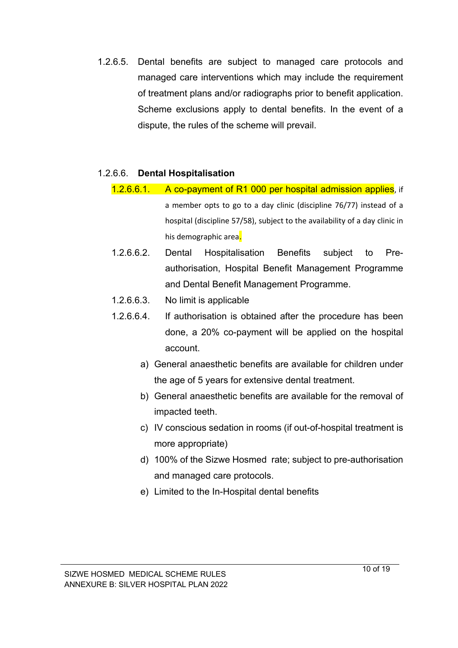1.2.6.5. Dental benefits are subject to managed care protocols and managed care interventions which may include the requirement of treatment plans and/or radiographs prior to benefit application. Scheme exclusions apply to dental benefits. In the event of a dispute, the rules of the scheme will prevail.

#### 1.2.6.6. **Dental Hospitalisation**

- 1.2.6.6.1. A co-payment of R1 000 per hospital admission applies, if a member opts to go to a day clinic (discipline 76/77) instead of a hospital (discipline 57/58), subject to the availability of a day clinic in his demographic area.
- 1.2.6.6.2. Dental Hospitalisation Benefits subject to Preauthorisation, Hospital Benefit Management Programme and Dental Benefit Management Programme.
- 1.2.6.6.3. No limit is applicable
- 1.2.6.6.4. If authorisation is obtained after the procedure has been done, a 20% co-payment will be applied on the hospital account.
	- a) General anaesthetic benefits are available for children under the age of 5 years for extensive dental treatment.
	- b) General anaesthetic benefits are available for the removal of impacted teeth.
	- c) IV conscious sedation in rooms (if out-of-hospital treatment is more appropriate)
	- d) 100% of the Sizwe Hosmed rate; subject to pre-authorisation and managed care protocols.
	- e) Limited to the In-Hospital dental benefits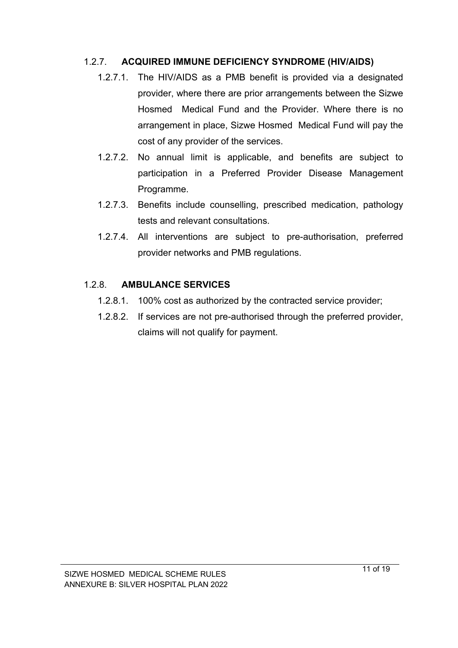# 1.2.7. **ACQUIRED IMMUNE DEFICIENCY SYNDROME (HIV/AIDS)**

- 1.2.7.1. The HIV/AIDS as a PMB benefit is provided via a designated provider, where there are prior arrangements between the Sizwe Hosmed Medical Fund and the Provider. Where there is no arrangement in place, Sizwe Hosmed Medical Fund will pay the cost of any provider of the services.
- 1.2.7.2. No annual limit is applicable, and benefits are subject to participation in a Preferred Provider Disease Management Programme.
- 1.2.7.3. Benefits include counselling, prescribed medication, pathology tests and relevant consultations.
- 1.2.7.4. All interventions are subject to pre-authorisation, preferred provider networks and PMB regulations.

#### 1.2.8. **AMBULANCE SERVICES**

- 1.2.8.1. 100% cost as authorized by the contracted service provider;
- 1.2.8.2. If services are not pre-authorised through the preferred provider, claims will not qualify for payment.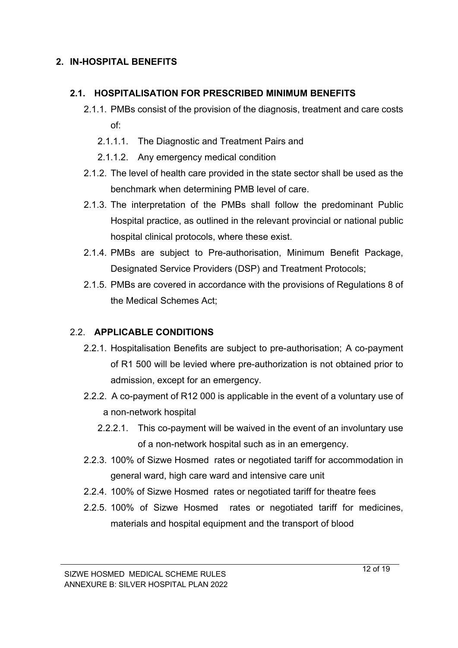# **2. IN-HOSPITAL BENEFITS**

#### **2.1. HOSPITALISATION FOR PRESCRIBED MINIMUM BENEFITS**

- 2.1.1. PMBs consist of the provision of the diagnosis, treatment and care costs of:
	- 2.1.1.1. The Diagnostic and Treatment Pairs and
	- 2.1.1.2. Any emergency medical condition
- 2.1.2. The level of health care provided in the state sector shall be used as the benchmark when determining PMB level of care.
- 2.1.3. The interpretation of the PMBs shall follow the predominant Public Hospital practice, as outlined in the relevant provincial or national public hospital clinical protocols, where these exist.
- 2.1.4. PMBs are subject to Pre-authorisation, Minimum Benefit Package, Designated Service Providers (DSP) and Treatment Protocols;
- 2.1.5. PMBs are covered in accordance with the provisions of Regulations 8 of the Medical Schemes Act;

#### 2.2. **APPLICABLE CONDITIONS**

- 2.2.1. Hospitalisation Benefits are subject to pre-authorisation; A co-payment of R1 500 will be levied where pre-authorization is not obtained prior to admission, except for an emergency.
- 2.2.2. A co-payment of R12 000 is applicable in the event of a voluntary use of a non-network hospital
	- 2.2.2.1. This co-payment will be waived in the event of an involuntary use of a non-network hospital such as in an emergency.
- 2.2.3. 100% of Sizwe Hosmed rates or negotiated tariff for accommodation in general ward, high care ward and intensive care unit
- 2.2.4. 100% of Sizwe Hosmed rates or negotiated tariff for theatre fees
- 2.2.5. 100% of Sizwe Hosmed rates or negotiated tariff for medicines, materials and hospital equipment and the transport of blood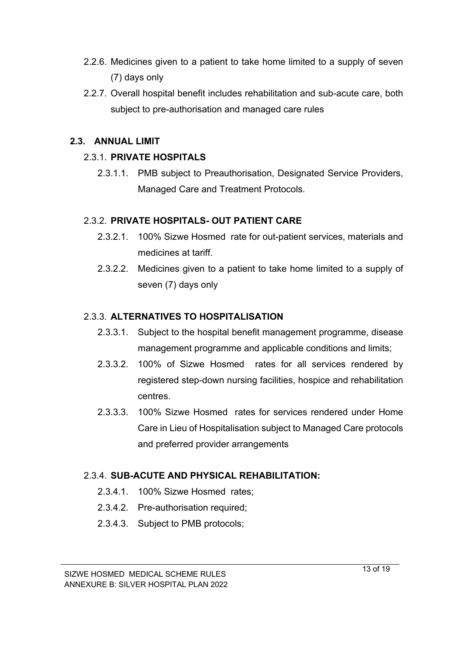- 2.2.6. Medicines given to a patient to take home limited to a supply of seven (7) days only
- 2.2.7. Overall hospital benefit includes rehabilitation and sub-acute care, both subject to pre-authorisation and managed care rules

#### **2.3. ANNUAL LIMIT**

# 2.3.1. **PRIVATE HOSPITALS**

2.3.1.1. PMB subject to Preauthorisation, Designated Service Providers, Managed Care and Treatment Protocols.

# 2.3.2. **PRIVATE HOSPITALS- OUT PATIENT CARE**

- 2.3.2.1. 100% Sizwe Hosmed rate for out-patient services, materials and medicines at tariff.
- 2.3.2.2. Medicines given to a patient to take home limited to a supply of seven (7) days only

# 2.3.3. **ALTERNATIVES TO HOSPITALISATION**

- 2.3.3.1. Subject to the hospital benefit management programme, disease management programme and applicable conditions and limits;
- 2.3.3.2. 100% of Sizwe Hosmed rates for all services rendered by registered step-down nursing facilities, hospice and rehabilitation centres.
- 2.3.3.3. 100% Sizwe Hosmed rates for services rendered under Home Care in Lieu of Hospitalisation subject to Managed Care protocols and preferred provider arrangements

# 2.3.4. **SUB-ACUTE AND PHYSICAL REHABILITATION:**

- 2.3.4.1. 100% Sizwe Hosmed rates;
- 2.3.4.2. Pre-authorisation required;
- 2.3.4.3. Subject to PMB protocols;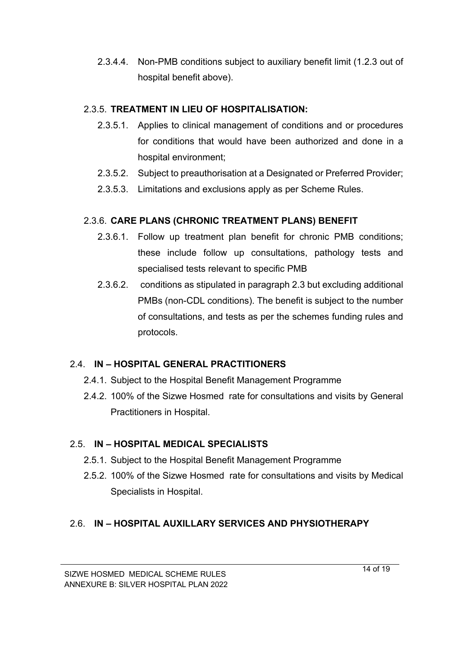2.3.4.4. Non-PMB conditions subject to auxiliary benefit limit (1.2.3 out of hospital benefit above).

# 2.3.5. **TREATMENT IN LIEU OF HOSPITALISATION:**

- 2.3.5.1. Applies to clinical management of conditions and or procedures for conditions that would have been authorized and done in a hospital environment;
- 2.3.5.2. Subject to preauthorisation at a Designated or Preferred Provider;
- 2.3.5.3. Limitations and exclusions apply as per Scheme Rules.

# 2.3.6. **CARE PLANS (CHRONIC TREATMENT PLANS) BENEFIT**

- 2.3.6.1. Follow up treatment plan benefit for chronic PMB conditions; these include follow up consultations, pathology tests and specialised tests relevant to specific PMB
- 2.3.6.2. conditions as stipulated in paragraph 2.3 but excluding additional PMBs (non-CDL conditions). The benefit is subject to the number of consultations, and tests as per the schemes funding rules and protocols.

# 2.4. **IN – HOSPITAL GENERAL PRACTITIONERS**

- 2.4.1. Subject to the Hospital Benefit Management Programme
- 2.4.2. 100% of the Sizwe Hosmed rate for consultations and visits by General Practitioners in Hospital.

# 2.5. **IN – HOSPITAL MEDICAL SPECIALISTS**

- 2.5.1. Subject to the Hospital Benefit Management Programme
- 2.5.2. 100% of the Sizwe Hosmed rate for consultations and visits by Medical Specialists in Hospital.

# 2.6. **IN – HOSPITAL AUXILLARY SERVICES AND PHYSIOTHERAPY**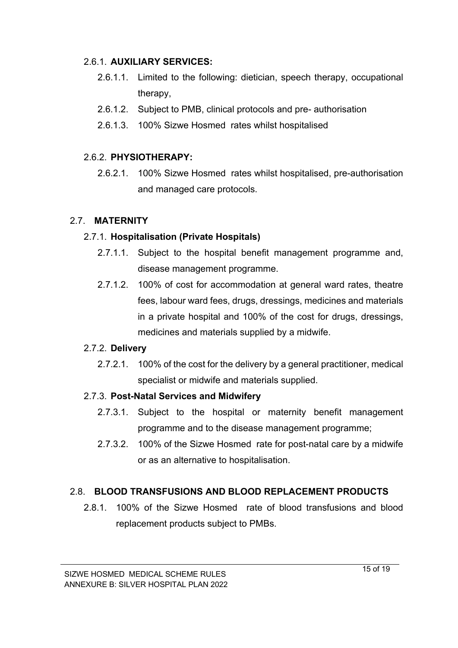#### 2.6.1. **AUXILIARY SERVICES:**

- 2.6.1.1. Limited to the following: dietician, speech therapy, occupational therapy,
- 2.6.1.2. Subject to PMB, clinical protocols and pre- authorisation
- 2.6.1.3. 100% Sizwe Hosmed rates whilst hospitalised

# 2.6.2. **PHYSIOTHERAPY:**

2.6.2.1. 100% Sizwe Hosmed rates whilst hospitalised, pre-authorisation and managed care protocols.

# 2.7. **MATERNITY**

# 2.7.1. **Hospitalisation (Private Hospitals)**

- 2.7.1.1. Subject to the hospital benefit management programme and, disease management programme.
- 2.7.1.2. 100% of cost for accommodation at general ward rates, theatre fees, labour ward fees, drugs, dressings, medicines and materials in a private hospital and 100% of the cost for drugs, dressings, medicines and materials supplied by a midwife.

#### 2.7.2. **Delivery**

2.7.2.1. 100% of the cost for the delivery by a general practitioner, medical specialist or midwife and materials supplied.

# 2.7.3. **Post-Natal Services and Midwifery**

- 2.7.3.1. Subject to the hospital or maternity benefit management programme and to the disease management programme;
- 2.7.3.2. 100% of the Sizwe Hosmed rate for post-natal care by a midwife or as an alternative to hospitalisation.

# 2.8. **BLOOD TRANSFUSIONS AND BLOOD REPLACEMENT PRODUCTS**

2.8.1. 100% of the Sizwe Hosmed rate of blood transfusions and blood replacement products subject to PMBs.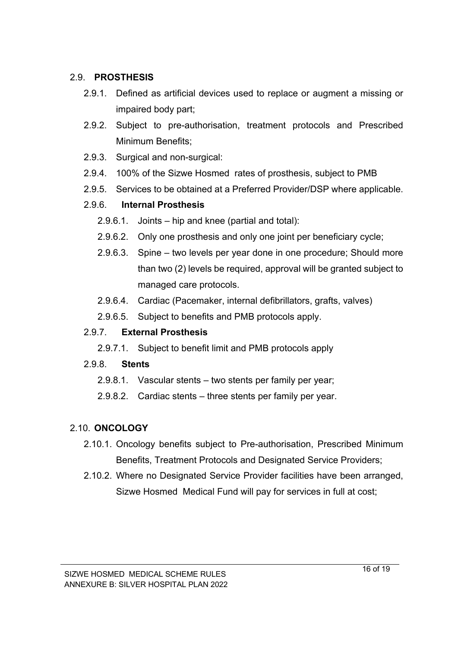#### 2.9. **PROSTHESIS**

- 2.9.1. Defined as artificial devices used to replace or augment a missing or impaired body part;
- 2.9.2. Subject to pre-authorisation, treatment protocols and Prescribed Minimum Benefits;
- 2.9.3. Surgical and non-surgical:
- 2.9.4. 100% of the Sizwe Hosmed rates of prosthesis, subject to PMB
- 2.9.5. Services to be obtained at a Preferred Provider/DSP where applicable.

# 2.9.6. **Internal Prosthesis**

- 2.9.6.1. Joints hip and knee (partial and total):
- 2.9.6.2. Only one prosthesis and only one joint per beneficiary cycle;
- 2.9.6.3. Spine two levels per year done in one procedure; Should more than two (2) levels be required, approval will be granted subject to managed care protocols.
- 2.9.6.4. Cardiac (Pacemaker, internal defibrillators, grafts, valves)
- 2.9.6.5. Subject to benefits and PMB protocols apply.

#### 2.9.7. **External Prosthesis**

2.9.7.1. Subject to benefit limit and PMB protocols apply

#### 2.9.8. **Stents**

- 2.9.8.1. Vascular stents two stents per family per year;
- 2.9.8.2. Cardiac stents three stents per family per year.

# 2.10. **ONCOLOGY**

- 2.10.1. Oncology benefits subject to Pre-authorisation, Prescribed Minimum Benefits, Treatment Protocols and Designated Service Providers;
- 2.10.2. Where no Designated Service Provider facilities have been arranged, Sizwe Hosmed Medical Fund will pay for services in full at cost;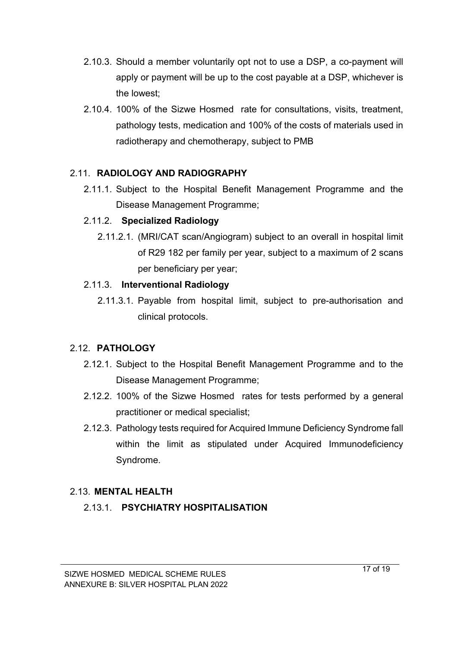- 2.10.3. Should a member voluntarily opt not to use a DSP, a co-payment will apply or payment will be up to the cost payable at a DSP, whichever is the lowest;
- 2.10.4. 100% of the Sizwe Hosmed rate for consultations, visits, treatment, pathology tests, medication and 100% of the costs of materials used in radiotherapy and chemotherapy, subject to PMB

#### 2.11. **RADIOLOGY AND RADIOGRAPHY**

2.11.1. Subject to the Hospital Benefit Management Programme and the Disease Management Programme;

# 2.11.2. **Specialized Radiology**

2.11.2.1. (MRI/CAT scan/Angiogram) subject to an overall in hospital limit of R29 182 per family per year, subject to a maximum of 2 scans per beneficiary per year;

# 2.11.3. **Interventional Radiology**

2.11.3.1. Payable from hospital limit, subject to pre-authorisation and clinical protocols.

# 2.12. **PATHOLOGY**

- 2.12.1. Subject to the Hospital Benefit Management Programme and to the Disease Management Programme;
- 2.12.2. 100% of the Sizwe Hosmed rates for tests performed by a general practitioner or medical specialist;
- 2.12.3. Pathology tests required for Acquired Immune Deficiency Syndrome fall within the limit as stipulated under Acquired Immunodeficiency Syndrome.

# 2.13. **MENTAL HEALTH**

# 2.13.1. **PSYCHIATRY HOSPITALISATION**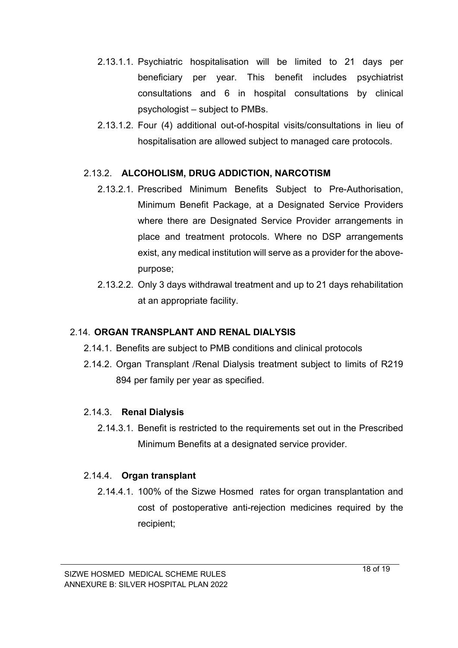- 2.13.1.1. Psychiatric hospitalisation will be limited to 21 days per beneficiary per year. This benefit includes psychiatrist consultations and 6 in hospital consultations by clinical psychologist – subject to PMBs.
- 2.13.1.2. Four (4) additional out-of-hospital visits/consultations in lieu of hospitalisation are allowed subject to managed care protocols.

#### 2.13.2. **ALCOHOLISM, DRUG ADDICTION, NARCOTISM**

- 2.13.2.1. Prescribed Minimum Benefits Subject to Pre-Authorisation, Minimum Benefit Package, at a Designated Service Providers where there are Designated Service Provider arrangements in place and treatment protocols. Where no DSP arrangements exist, any medical institution will serve as a provider for the abovepurpose;
- 2.13.2.2. Only 3 days withdrawal treatment and up to 21 days rehabilitation at an appropriate facility.

#### 2.14. **ORGAN TRANSPLANT AND RENAL DIALYSIS**

- 2.14.1. Benefits are subject to PMB conditions and clinical protocols
- 2.14.2. Organ Transplant /Renal Dialysis treatment subject to limits of R219 894 per family per year as specified.

#### 2.14.3. **Renal Dialysis**

2.14.3.1. Benefit is restricted to the requirements set out in the Prescribed Minimum Benefits at a designated service provider.

#### 2.14.4. **Organ transplant**

2.14.4.1. 100% of the Sizwe Hosmed rates for organ transplantation and cost of postoperative anti-rejection medicines required by the recipient;